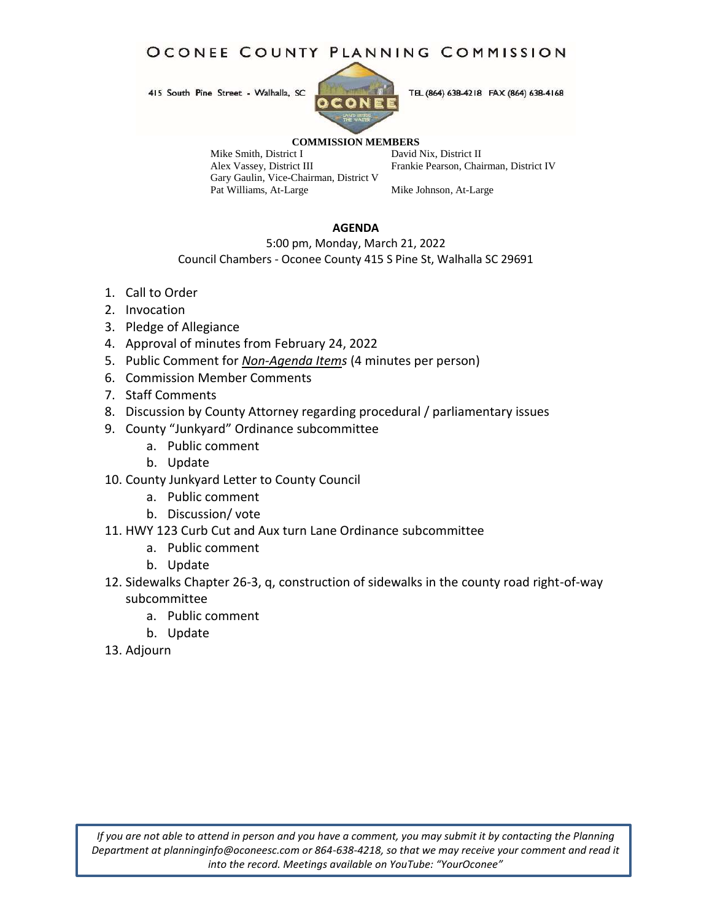# OCONEE COUNTY PLANNING COMMISSION

415 South Pine Street - Walhalla, SC



TEL (864) 638-4218 FAX (864) 638-4168

#### **COMMISSION MEMBERS**

Mike Smith, District I<br>
Alex Vassey, District III Frankie Pearson, Chai Gary Gaulin, Vice-Chairman, District V Pat Williams, At-Large Mike Johnson, At-Large

Frankie Pearson, Chairman, District IV

#### **AGENDA**

5:00 pm, Monday, March 21, 2022

Council Chambers - Oconee County 415 S Pine St, Walhalla SC 29691

- 1. Call to Order
- 2. Invocation
- 3. Pledge of Allegiance
- 4. Approval of minutes from February 24, 2022
- 5. Public Comment for *Non-Agenda Items* (4 minutes per person)
- 6. Commission Member Comments
- 7. Staff Comments
- 8. Discussion by County Attorney regarding procedural / parliamentary issues
- 9. County "Junkyard" Ordinance subcommittee
	- a. Public comment
	- b. Update
- 10. County Junkyard Letter to County Council
	- a. Public comment
	- b. Discussion/ vote
- 11. HWY 123 Curb Cut and Aux turn Lane Ordinance subcommittee
	- a. Public comment
	- b. Update
- 12. Sidewalks Chapter 26-3, q, construction of sidewalks in the county road right-of-way subcommittee
	- a. Public comment
	- b. Update
- 13. Adjourn

*If you are not able to attend in person and you have a comment, you may submit it by contacting the Planning Department at planninginfo@oconeesc.com or 864-638-4218, so that we may receive your comment and read it into the record. Meetings available on YouTube: "YourOconee"*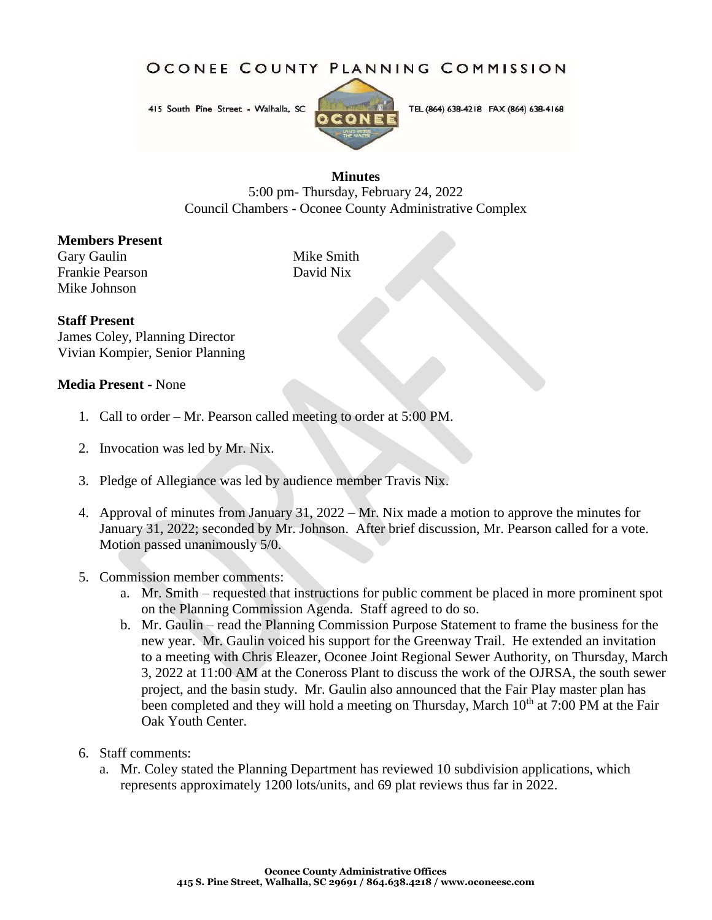OCONEE COUNTY PLANNING COMMISSION

415 South Pine Street - Walhalla, SC



TEL (864) 638-4218 FAX (864) 638-4168

### **Minutes**

5:00 pm- Thursday, February 24, 2022 Council Chambers - Oconee County Administrative Complex

## **Members Present**

Gary Gaulin Mike Smith Frankie Pearson David Nix Mike Johnson

#### **Staff Present**

James Coley, Planning Director Vivian Kompier, Senior Planning

## **Media Present -** None

- 1. Call to order Mr. Pearson called meeting to order at 5:00 PM.
- 2. Invocation was led by Mr. Nix.
- 3. Pledge of Allegiance was led by audience member Travis Nix.
- 4. Approval of minutes from January 31, 2022 Mr. Nix made a motion to approve the minutes for January 31, 2022; seconded by Mr. Johnson. After brief discussion, Mr. Pearson called for a vote. Motion passed unanimously 5/0.
- 5. Commission member comments:
	- a. Mr. Smith requested that instructions for public comment be placed in more prominent spot on the Planning Commission Agenda. Staff agreed to do so.
	- b. Mr. Gaulin read the Planning Commission Purpose Statement to frame the business for the new year. Mr. Gaulin voiced his support for the Greenway Trail. He extended an invitation to a meeting with Chris Eleazer, Oconee Joint Regional Sewer Authority, on Thursday, March 3, 2022 at 11:00 AM at the Coneross Plant to discuss the work of the OJRSA, the south sewer project, and the basin study. Mr. Gaulin also announced that the Fair Play master plan has been completed and they will hold a meeting on Thursday, March 10<sup>th</sup> at 7:00 PM at the Fair Oak Youth Center.
- 6. Staff comments:
	- a. Mr. Coley stated the Planning Department has reviewed 10 subdivision applications, which represents approximately 1200 lots/units, and 69 plat reviews thus far in 2022.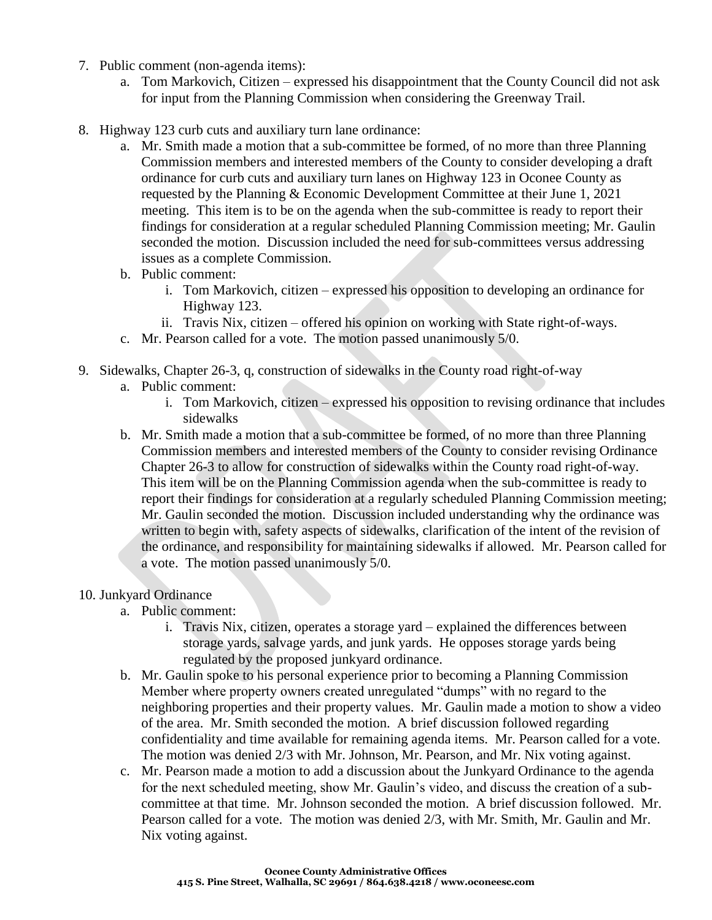- 7. Public comment (non-agenda items):
	- a. Tom Markovich, Citizen expressed his disappointment that the County Council did not ask for input from the Planning Commission when considering the Greenway Trail.
- 8. Highway 123 curb cuts and auxiliary turn lane ordinance:
	- a. Mr. Smith made a motion that a sub-committee be formed, of no more than three Planning Commission members and interested members of the County to consider developing a draft ordinance for curb cuts and auxiliary turn lanes on Highway 123 in Oconee County as requested by the Planning & Economic Development Committee at their June 1, 2021 meeting. This item is to be on the agenda when the sub-committee is ready to report their findings for consideration at a regular scheduled Planning Commission meeting; Mr. Gaulin seconded the motion. Discussion included the need for sub-committees versus addressing issues as a complete Commission.
	- b. Public comment:
		- i. Tom Markovich, citizen expressed his opposition to developing an ordinance for Highway 123.
		- ii. Travis Nix, citizen offered his opinion on working with State right-of-ways.
	- c. Mr. Pearson called for a vote. The motion passed unanimously 5/0.
- 9. Sidewalks, Chapter 26-3, q, construction of sidewalks in the County road right-of-way
	- a. Public comment:
		- i. Tom Markovich, citizen expressed his opposition to revising ordinance that includes sidewalks
	- b. Mr. Smith made a motion that a sub-committee be formed, of no more than three Planning Commission members and interested members of the County to consider revising Ordinance Chapter 26-3 to allow for construction of sidewalks within the County road right-of-way. This item will be on the Planning Commission agenda when the sub-committee is ready to report their findings for consideration at a regularly scheduled Planning Commission meeting; Mr. Gaulin seconded the motion. Discussion included understanding why the ordinance was written to begin with, safety aspects of sidewalks, clarification of the intent of the revision of the ordinance, and responsibility for maintaining sidewalks if allowed. Mr. Pearson called for a vote. The motion passed unanimously 5/0.

## 10. Junkyard Ordinance

- a. Public comment:
	- i. Travis Nix, citizen, operates a storage yard explained the differences between storage yards, salvage yards, and junk yards. He opposes storage yards being regulated by the proposed junkyard ordinance.
- b. Mr. Gaulin spoke to his personal experience prior to becoming a Planning Commission Member where property owners created unregulated "dumps" with no regard to the neighboring properties and their property values. Mr. Gaulin made a motion to show a video of the area. Mr. Smith seconded the motion. A brief discussion followed regarding confidentiality and time available for remaining agenda items. Mr. Pearson called for a vote. The motion was denied 2/3 with Mr. Johnson, Mr. Pearson, and Mr. Nix voting against.
- c. Mr. Pearson made a motion to add a discussion about the Junkyard Ordinance to the agenda for the next scheduled meeting, show Mr. Gaulin's video, and discuss the creation of a subcommittee at that time. Mr. Johnson seconded the motion. A brief discussion followed. Mr. Pearson called for a vote. The motion was denied 2/3, with Mr. Smith, Mr. Gaulin and Mr. Nix voting against.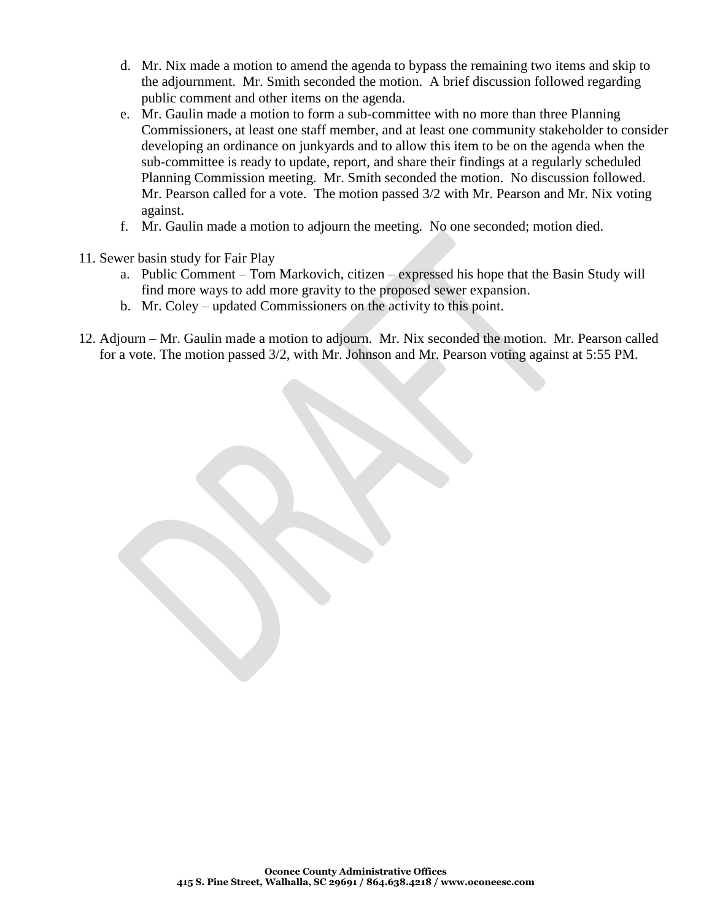- d. Mr. Nix made a motion to amend the agenda to bypass the remaining two items and skip to the adjournment. Mr. Smith seconded the motion. A brief discussion followed regarding public comment and other items on the agenda.
- e. Mr. Gaulin made a motion to form a sub-committee with no more than three Planning Commissioners, at least one staff member, and at least one community stakeholder to consider developing an ordinance on junkyards and to allow this item to be on the agenda when the sub-committee is ready to update, report, and share their findings at a regularly scheduled Planning Commission meeting. Mr. Smith seconded the motion. No discussion followed. Mr. Pearson called for a vote. The motion passed 3/2 with Mr. Pearson and Mr. Nix voting against.
- f. Mr. Gaulin made a motion to adjourn the meeting. No one seconded; motion died.
- 11. Sewer basin study for Fair Play
	- a. Public Comment Tom Markovich, citizen expressed his hope that the Basin Study will find more ways to add more gravity to the proposed sewer expansion.
	- b. Mr. Coley updated Commissioners on the activity to this point.
- 12. Adjourn Mr. Gaulin made a motion to adjourn. Mr. Nix seconded the motion. Mr. Pearson called for a vote. The motion passed 3/2, with Mr. Johnson and Mr. Pearson voting against at 5:55 PM.